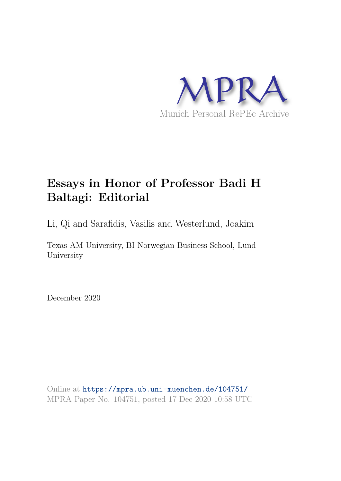

# **Essays in Honor of Professor Badi H Baltagi: Editorial**

Li, Qi and Sarafidis, Vasilis and Westerlund, Joakim

Texas AM University, BI Norwegian Business School, Lund University

December 2020

Online at https://mpra.ub.uni-muenchen.de/104751/ MPRA Paper No. 104751, posted 17 Dec 2020 10:58 UTC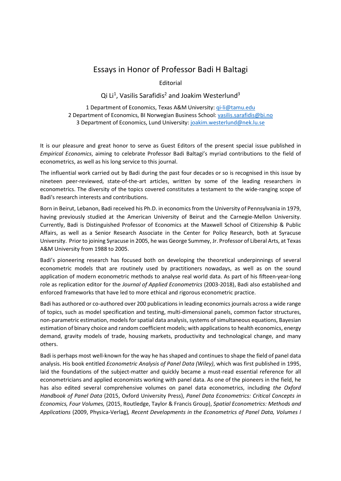## Essays in Honor of Professor Badi H Baltagi

Editorial

Qi Li<sup>1</sup>, Vasilis Sarafidis<sup>2</sup> and Joakim Westerlund<sup>3</sup>

1 Department of Economics, Texas A&M University: gi-li@tamu.edu 2 Department of Economics, BI Norwegian Business School: vasilis.sarafidis@bi.no 3 Department of Economics, Lund University: joakim.westerlund@nek.lu.se

It is our pleasure and great honor to serve as Guest Editors of the present special issue published in Empirical Economics, aiming to celebrate Professor Badi Baltagi's myriad contributions to the field of econometrics, as well as his long service to this journal.

The influential work carried out by Badi during the past four decades or so is recognised in this issue by nineteen peer-reviewed, state-of-the-art articles, written by some of the leading researchers in econometrics. The diversity of the topics covered constitutes a testament to the wide-ranging scope of Badi's research interests and contributions.

Born in Beirut, Lebanon, Badi received his Ph.D. in economics from the University of Pennsylvania in 1979, having previously studied at the American University of Beirut and the Carnegie-Mellon University. Currently, Badi is Distinguished Professor of Economics at the Maxwell School of Citizenship & Public Affairs, as well as a Senior Research Associate in the Center for Policy Research, both at Syracuse University. Prior to joining Syracuse in 2005, he was George Summey, Jr. Professor of Liberal Arts, at Texas A&M University from 1988 to 2005.

Badi's pioneering research has focused both on developing the theoretical underpinnings of several econometric models that are routinely used by practitioners nowadays, as well as on the sound application of modern econometric methods to analyse real world data. As part of his fifteen-year-long role as replication editor for the Journal of Applied Econometrics (2003-2018), Badi also established and enforced frameworks that have led to more ethical and rigorous econometric practice.

Badi has authored or co-authored over 200 publications in leading economics journals across a wide range of topics, such as model specification and testing, multi-dimensional panels, common factor structures, non-parametric estimation, models for spatial data analysis, systems of simultaneous equations, Bayesian estimation of binary choice and random coefficient models; with applications to health economics, energy demand, gravity models of trade, housing markets, productivity and technological change, and many others.

Badi is perhaps most well-known for the way he has shaped and continues to shape the field of panel data analysis. His book entitled *Econometric Analysis of Panel Data (Wiley)*, which was first published in 1995, laid the foundations of the subject-matter and quickly became a must-read essential reference for all econometricians and applied economists working with panel data. As one of the pioneers in the field, he has also edited several comprehensive volumes on panel data econometrics, including the Oxford Handbook of Panel Data (2015, Oxford University Press), Panel Data Econometrics: Critical Concepts in Economics, Four Volumes, (2015, Routledge, Taylor & Francis Group), Spatial Econometrics: Methods and Applications (2009, Physica-Verlag), Recent Developments in the Econometrics of Panel Data, Volumes I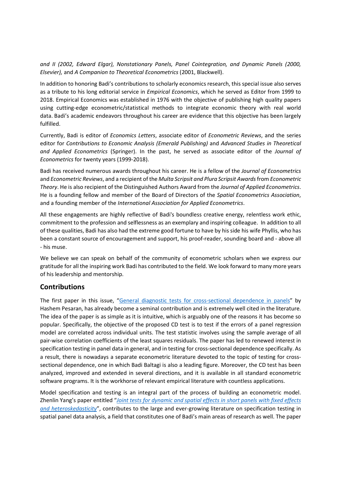and II (2002, Edward Elgar), Nonstationary Panels, Panel Cointegration, and Dynamic Panels (2000, Elsevier), and A Companion to Theoretical Econometrics (2001, Blackwell).

In addition to honoring Badi's contributions to scholarly economics research, this special issue also serves as a tribute to his long editorial service in *Empirical Economics*, which he served as Editor from 1999 to 2018. Empirical Economics was established in 1976 with the objective of publishing high quality papers using cutting-edge econometric/statistical methods to integrate economic theory with real world data. Badi's academic endeavors throughout his career are evidence that this objective has been largely fulfilled.

Currently, Badi is editor of Economics Letters, associate editor of Econometric Reviews, and the series editor for Contributions to Economic Analysis (Emerald Publishing) and Advanced Studies in Theoretical and Applied Econometrics (Springer). In the past, he served as associate editor of the Journal of Econometrics for twenty years (1999-2018).

Badi has received numerous awards throughout his career. He is a fellow of the Journal of Econometrics and Econometric Reviews, and a recipient of the Multa Scripsit and Plura Scripsit Awards from Econometric Theory. He is also recipient of the Distinguished Authors Award from the Journal of Applied Econometrics. He is a founding fellow and member of the Board of Directors of the Spatial Econometrics Association, and a founding member of the International Association for Applied Econometrics.

All these engagements are highly reflective of Badi's boundless creative energy, relentless work ethic, commitment to the profession and selflessness as an exemplary and inspiring colleague. In addition to all of these qualities, Badi has also had the extreme good fortune to have by his side his wife Phyllis, who has been a constant source of encouragement and support, his proof-reader, sounding board and - above all - his muse.

We believe we can speak on behalf of the community of econometric scholars when we express our gratitude for all the inspiring work Badi has contributed to the field. We look forward to many more years of his leadership and mentorship.

#### **Contributions**

The first paper in this issue, "General diagnostic tests for cross-sectional dependence in panels" by Hashem Pesaran, has already become a seminal contribution and is extremely well cited in the literature. The idea of the paper is as simple as it is intuitive, which is arguably one of the reasons it has become so popular. Specifically, the objective of the proposed CD test is to test if the errors of a panel regression model are correlated across individual units. The test statistic involves using the sample average of all pair-wise correlation coefficients of the least squares residuals. The paper has led to renewed interest in specification testing in panel data in general, and in testing for cross-sectional dependence specifically. As a result, there is nowadays a separate econometric literature devoted to the topic of testing for crosssectional dependence, one in which Badi Baltagi is also a leading figure. Moreover, the CD test has been analyzed, improved and extended in several directions, and it is available in all standard econometric software programs. It is the workhorse of relevant empirical literature with countless applications.

Model specification and testing is an integral part of the process of building an econometric model. Zhenlin Yang's paper entitled "Joint tests for dynamic and spatial effects in short panels with fixed effects and heteroskedasticity", contributes to the large and ever-growing literature on specification testing in spatial panel data analysis, a field that constitutes one of Badi's main areas of research as well. The paper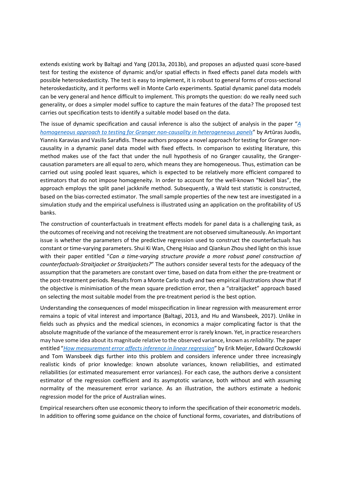extends existing work by Baltagi and Yang (2013a, 2013b), and proposes an adjusted quasi score-based test for testing the existence of dynamic and/or spatial effects in fixed effects panel data models with possible heteroskedasticity. The test is easy to implement, it is robust to general forms of cross-sectional heteroskedasticity, and it performs well in Monte Carlo experiments. Spatial dynamic panel data models can be very general and hence difficult to implement. This prompts the question: do we really need such generality, or does a simpler model suffice to capture the main features of the data? The proposed test carries out specification tests to identify a suitable model based on the data.

The issue of dynamic specification and causal inference is also the subject of analysis in the paper "A homogeneous approach to testing for Granger non-causality in heterogeneous panels" by Artūras Juodis, Yiannis Karavias and Vasilis Sarafidis. These authors propose a novel approach for testing for Granger noncausality in a dynamic panel data model with fixed effects. In comparison to existing literature, this method makes use of the fact that under the null hypothesis of no Granger causality, the Grangercausation parameters are all equal to zero, which means they are homogeneous. Thus, estimation can be carried out using pooled least squares, which is expected to be relatively more efficient compared to estimators that do not impose homogeneity. In order to account for the well-known "Nickell bias", the approach employs the split panel jackknife method. Subsequently, a Wald test statistic is constructed, based on the bias-corrected estimator. The small sample properties of the new test are investigated in a simulation study and the empirical usefulness is illustrated using an application on the profitability of US banks.

The construction of counterfactuals in treatment effects models for panel data is a challenging task, as the outcomes of receiving and not receiving the treatment are not observed simultaneously. An important issue is whether the parameters of the predictive regression used to construct the counterfactuals has constant or time-varying parameters. Shui Ki Wan, Cheng Hsiao and Qiankun Zhou shed light on this issue with their paper entitled "Can a time-varying structure provide a more robust panel construction of counterfactuals-Straitjacket or Straitjackets?" The authors consider several tests for the adequacy of the assumption that the parameters are constant over time, based on data from either the pre-treatment or the post-treatment periods. Results from a Monte Carlo study and two empirical illustrations show that if the objective is minimisation of the mean square prediction error, then a "straitjacket" approach based on selecting the most suitable model from the pre-treatment period is the best option.

Understanding the consequences of model misspecification in linear regression with measurement error remains a topic of vital interest and importance (Baltagi, 2013, and Hu and Wansbeek, 2017). Unlike in fields such as physics and the medical sciences, in economics a major complicating factor is that the absolute magnitude of the variance of the measurement error is rarely known. Yet, in practice researchers may have some idea about its magnitude relative to the observed variance, known as reliability. The paper entitled "How measurement error affects inference in linear regression" by Erik Meijer, Edward Oczkowski and Tom Wansbeek digs further into this problem and considers inference under three increasingly realistic kinds of prior knowledge: known absolute variances, known reliabilities, and estimated reliabilities (or estimated measurement error variances). For each case, the authors derive a consistent estimator of the regression coefficient and its asymptotic variance, both without and with assuming normality of the measurement error variance. As an illustration, the authors estimate a hedonic regression model for the price of Australian wines.

Empirical researchers often use economic theory to inform the specification of their econometric models. In addition to offering some guidance on the choice of functional forms, covariates, and distributions of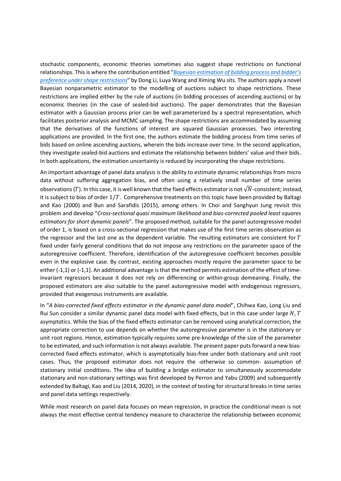stochastic components, economic theories sometimes also suggest shape restrictions on functional relationships. This is where the contribution entitled "Bayesian estimation of bidding process and bidder's preference under shape restrictions" by Dong Li, Luya Wang and Ximing Wu sits. The authors apply a novel Bayesian nonparametric estimator to the modelling of auctions subject to shape restrictions. These restrictions are implied either by the rule of auctions (in bidding processes of ascending auctions) or by economic theories (in the case of sealed-bid auctions). The paper demonstrates that the Bayesian estimator with a Gaussian process prior can be well parameterized by a spectral representation, which facilitates posterior analysis and MCMC sampling. The shape restrictions are accommodated by assuming that the derivatives of the functions of interest are squared Gaussian processes. Two interesting applications are provided. In the first one, the authors estimate the bidding process from time series of bids based on online ascending auctions, wherein the bids increase over time. In the second application, they investigate sealed-bid auctions and estimate the relationship between bidders' value and their bids. In both applications, the estimation uncertainty is reduced by incorporating the shape restrictions.

An important advantage of panel data analysis is the ability to estimate dynamic relationships from micro data without suffering aggregation bias, and often using a relatively small number of time series observations (T). In this case, it is well known that the fixed effects estimator is not  $\sqrt{N}$ -consistent; instead, it is subject to bias of order  $1/T$ . Comprehensive treatments on this topic have been provided by Baltagi and Kao (2000) and Bun and Sarafidis (2015), among others. In Choi and Sanghyun Jung revisit this problem and develop "Cross-sectional quasi maximum likelihood and bias-corrected pooled least squares estimators for short dynamic panels". The proposed method, suitable for the panel autoregressive model of order 1, is based on a cross-sectional regression that makes use of the first time series observation as the regressor and the last one as the dependent variable. The resulting estimators are consistent for  $T$ fixed under fairly general conditions that do not impose any restrictions on the parameter space of the autoregressive coefficient. Therefore, identification of the autoregressive coefficient becomes possible even in the explosive case. By contrast, existing approaches mostly require the parameter space to be either (-1,1) or (-1,1]. An additional advantage is that the method permits estimation of the effect of timeinvariant regressors because it does not rely on differencing or within-group demeaning. Finally, the proposed estimators are also suitable to the panel autoregressive model with endogenous regressors, provided that exogenous instruments are available.

In "A bias-corrected fixed effects estimator in the dynamic panel data model", Chihwa Kao, Long Liu and Rui Sun consider a similar dynamic panel data model with fixed effects, but in this case under large  $N$ ,  $T$ asymptotics. While the bias of the fixed effects estimator can be removed using analytical correction, the appropriate correction to use depends on whether the autoregressive parameter is in the stationary or unit root regions. Hence, estimation typically requires some pre-knowledge of the size of the parameter to be estimated, and such information is not always available. The present paper puts forward a new biascorrected fixed effects estimator, which is asymptotically bias-free under both stationary and unit root cases. Thus, the proposed estimator does not require the -otherwise so common- assumption of stationary initial conditions. The idea of building a bridge estimator to simultaneously accommodate stationary and non-stationary settings was first developed by Perron and Yabu (2009) and subsequently extended by Baltagi, Kao and Liu (2014, 2020), in the context of testing for structural breaks in time series and panel data settings respectively.

While most research on panel data focuses on mean regression, in practice the conditional mean is not always the most effective central tendency measure to characterize the relationship between economic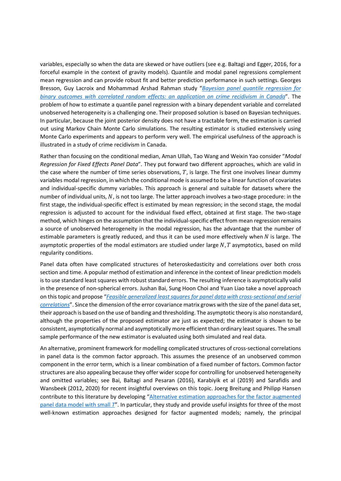variables, especially so when the data are skewed or have outliers (see e.g. Baltagi and Egger, 2016, for a forceful example in the context of gravity models). Quantile and modal panel regressions complement mean regression and can provide robust fit and better prediction performance in such settings. Georges Bresson, Guy Lacroix and Mohammad Arshad Rahman study "Bayesian panel quantile regression for binary outcomes with correlated random effects: an application on crime recidivism in Canada". The problem of how to estimate a quantile panel regression with a binary dependent variable and correlated unobserved heterogeneity is a challenging one. Their proposed solution is based on Bayesian techniques. In particular, because the joint posterior density does not have a tractable form, the estimation is carried out using Markov Chain Monte Carlo simulations. The resulting estimator is studied extensively using Monte Carlo experiments and appears to perform very well. The empirical usefulness of the approach is illustrated in a study of crime recidivism in Canada.

Rather than focusing on the conditional median, Aman Ullah, Tao Wang and Weixin Yao consider "Modal Regression for Fixed Effects Panel Data". They put forward two different approaches, which are valid in the case where the number of time series observations,  $T$ , is large. The first one involves linear dummy variables modal regression, in which the conditional mode is assumed to be a linear function of covariates and individual-specific dummy variables. This approach is general and suitable for datasets where the number of individual units,  $N$ , is not too large. The latter approach involves a two-stage procedure: in the first stage, the individual-specific effect is estimated by mean regression; in the second stage, the modal regression is adjusted to account for the individual fixed effect, obtained at first stage. The two-stage method, which hinges on the assumption that the individual-specific effect from mean regression remains a source of unobserved heterogeneity in the modal regression, has the advantage that the number of estimable parameters is greatly reduced, and thus it can be used more effectively when  $N$  is large. The asymptotic properties of the modal estimators are studied under large  $N$ ,  $T$  asymptotics, based on mild regularity conditions.

Panel data often have complicated structures of heteroskedasticity and correlations over both cross section and time. A popular method of estimation and inference in the context of linear prediction models is to use standard least squares with robust standard errors. The resulting inference is asymptotically valid in the presence of non-spherical errors. Jushan Bai, Sung Hoon Choi and Yuan Liao take a novel approach on this topic and propose "Feasible generalized least squares for panel data with cross-sectional and serial correlations". Since the dimension of the error covariance matrix grows with the size of the panel data set, their approach is based on the use of banding and thresholding. The asymptotic theory is also nonstandard, although the properties of the proposed estimator are just as expected; the estimator is shown to be consistent, asymptotically normal and asymptotically more efficient than ordinary least squares. The small sample performance of the new estimator is evaluated using both simulated and real data.

An alternative, prominent framework for modelling complicated structures of cross-sectional correlations in panel data is the common factor approach. This assumes the presence of an unobserved common component in the error term, which is a linear combination of a fixed number of factors. Common factor structures are also appealing because they offer wider scope for controlling for unobserved heterogeneity and omitted variables; see Bai, Baltagi and Pesaran (2016), Karabiyik et al (2019) and Sarafidis and Wansbeek (2012, 2020) for recent insightful overviews on this topic. Joerg Breitung and Philipp Hansen contribute to this literature by developing "Alternative estimation approaches for the factor augmented panel data model with small T". In particular, they study and provide useful insights for three of the most well-known estimation approaches designed for factor augmented models; namely, the principal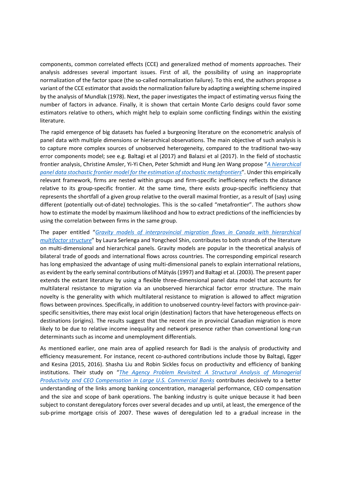components, common correlated effects (CCE) and generalized method of moments approaches. Their analysis addresses several important issues. First of all, the possibility of using an inappropriate normalization of the factor space (the so-called normalization failure). To this end, the authors propose a variant of the CCE estimator that avoids the normalization failure by adapting a weighting scheme inspired by the analysis of Mundlak (1978). Next, the paper investigates the impact of estimating versus fixing the number of factors in advance. Finally, it is shown that certain Monte Carlo designs could favor some estimators relative to others, which might help to explain some conflicting findings within the existing literature.

The rapid emergence of big datasets has fueled a burgeoning literature on the econometric analysis of panel data with multiple dimensions or hierarchical observations. The main objective of such analysis is to capture more complex sources of unobserved heterogeneity, compared to the traditional two-way error components model; see e.g. Baltagi et al (2017) and Balazsi et al (2017). In the field of stochastic frontier analysis, Christine Amsler, Yi-Yi Chen, Peter Schmidt and Hung Jen Wang propose "A hierarchical panel data stochastic frontier model for the estimation of stochastic metafrontiers". Under this empirically relevant framework, firms are nested within groups and firm-specific inefficiency reflects the distance relative to its group-specific frontier. At the same time, there exists group-specific inefficiency that represents the shortfall of a given group relative to the overall maximal frontier, as a result of (say) using different (potentially out-of-date) technologies. This is the so-called "metafrontier". The authors show how to estimate the model by maximum likelihood and how to extract predictions of the inefficiencies by using the correlation between firms in the same group.

The paper entitled "Gravity models of interprovincial migration flows in Canada with hierarchical multifactor structure" by Laura Serlenga and Yongcheol Shin, contributes to both strands of the literature on multi-dimensional and hierarchical panels. Gravity models are popular in the theoretical analysis of bilateral trade of goods and international flows across countries. The corresponding empirical research has long emphasized the advantage of using multi-dimensional panels to explain international relations, as evident by the early seminal contributions of Mátyás (1997) and Baltagi et al. (2003). The present paper extends the extant literature by using a flexible three-dimensional panel data model that accounts for multilateral resistance to migration via an unobserved hierarchical factor error structure. The main novelty is the generality with which multilateral resistance to migration is allowed to affect migration flows between provinces. Specifically, in addition to unobserved country-level factors with province-pairspecific sensitivities, there may exist local origin (destination) factors that have heterogeneous effects on destinations (origins). The results suggest that the recent rise in provincial Canadian migration is more likely to be due to relative income inequality and network presence rather than conventional long-run determinants such as income and unemployment differentials.

As mentioned earlier, one main area of applied research for Badi is the analysis of productivity and efficiency measurement. For instance, recent co-authored contributions include those by Baltagi, Egger and Kesina (2015, 2016). Shasha Liu and Robin Sickles focus on productivity and efficiency of banking institutions. Their study on "The Agency Problem Revisited: A Structural Analysis of Managerial Productivity and CEO Compensation in Large U.S. Commercial Banks contributes decisively to a better understanding of the links among banking concentration, managerial performance, CEO compensation and the size and scope of bank operations. The banking industry is quite unique because it had been subject to constant deregulatory forces over several decades and up until, at least, the emergence of the sub-prime mortgage crisis of 2007. These waves of deregulation led to a gradual increase in the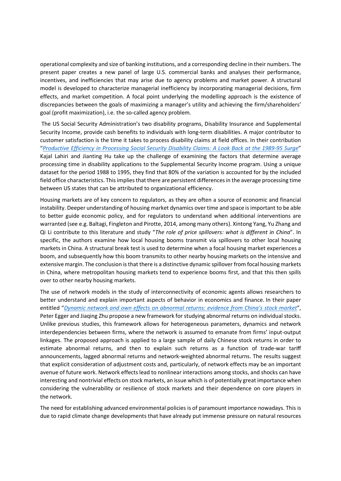operational complexity and size of banking institutions, and a corresponding decline in their numbers. The present paper creates a new panel of large U.S. commercial banks and analyses their performance, incentives, and inefficiencies that may arise due to agency problems and market power. A structural model is developed to characterize managerial inefficiency by incorporating managerial decisions, firm effects, and market competition. A focal point underlying the modelling approach is the existence of discrepancies between the goals of maximizing a manager's utility and achieving the firm/shareholders' goal (profit maximization), i.e. the so-called agency problem.

 The US Social Security Administration's two disability programs, Disability Insurance and Supplemental Security Income, provide cash benefits to individuals with long-term disabilities. A major contributor to customer satisfaction is the time it takes to process disability claims at field offices. In their contribution "Productive Efficiency in Processing Social Security Disability Claims: A Look Back at the 1989-95 Surge" Kajal Lahiri and Jianting Hu take up the challenge of examining the factors that determine average processing time in disability applications to the Supplemental Security Income program. Using a unique dataset for the period 1988 to 1995, they find that 80% of the variation is accounted for by the included field office characteristics. This implies that there are persistent differences in the average processing time between US states that can be attributed to organizational efficiency.

Housing markets are of key concern to regulators, as they are often a source of economic and financial instability. Deeper understanding of housing market dynamics over time and space is important to be able to better guide economic policy, and for regulators to understand when additional interventions are warranted (see e.g. Baltagi, Fingleton and Pirotte, 2014, among many others). Xintong Yang, Yu Zhang and Qi Li contribute to this literature and study "The role of price spillovers: what is different in China". In specific, the authors examine how local housing booms transmit via spillovers to other local housing markets in China. A structural break test is used to determine when a focal housing market experiences a boom, and subsequently how this boom transmits to other nearby housing markets on the intensive and extensive margin. The conclusion is that there is a distinctive dynamic spillover from focal housing markets in China, where metropolitan housing markets tend to experience booms first, and that this then spills over to other nearby housing markets.

The use of network models in the study of interconnectivity of economic agents allows researchers to better understand and explain important aspects of behavior in economics and finance. In their paper entitled "Dynamic network and own effects on abnormal returns: evidence from China's stock market", Peter Egger and Jiaqing Zhu propose a new framework for studying abnormal returns on individual stocks. Unlike previous studies, this framework allows for heterogeneous parameters, dynamics and network interdependencies between firms, where the network is assumed to emanate from firms' input-output linkages. The proposed approach is applied to a large sample of daily Chinese stock returns in order to estimate abnormal returns, and then to explain such returns as a function of trade-war tariff announcements, lagged abnormal returns and network-weighted abnormal returns. The results suggest that explicit consideration of adjustment costs and, particularly, of network effects may be an important avenue of future work. Network effects lead to nonlinear interactions among stocks, and shocks can have interesting and nontrivial effects on stock markets, an issue which is of potentially great importance when considering the vulnerability or resilience of stock markets and their dependence on core players in the network.

The need for establishing advanced environmental policies is of paramount importance nowadays. This is due to rapid climate change developments that have already put immense pressure on natural resources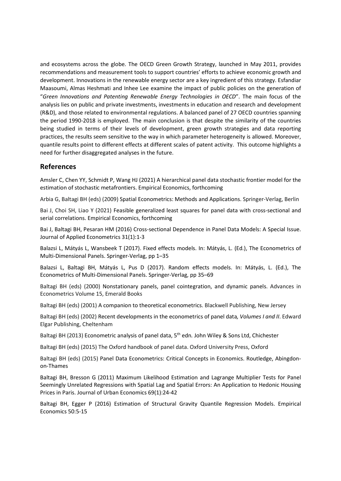and ecosystems across the globe. The OECD Green Growth Strategy, launched in May 2011, provides recommendations and measurement tools to support countries' efforts to achieve economic growth and development. Innovations in the renewable energy sector are a key ingredient of this strategy. Esfandiar Maasoumi, Almas Heshmati and Inhee Lee examine the impact of public policies on the generation of "Green Innovations and Patenting Renewable Energy Technologies in OECD". The main focus of the analysis lies on public and private investments, investments in education and research and development (R&D), and those related to environmental regulations. A balanced panel of 27 OECD countries spanning the period 1990-2018 is employed. The main conclusion is that despite the similarity of the countries being studied in terms of their levels of development, green growth strategies and data reporting practices, the results seem sensitive to the way in which parameter heterogeneity is allowed. Moreover, quantile results point to different effects at different scales of patent activity. This outcome highlights a need for further disaggregated analyses in the future.

#### References

Amsler C, Chen YY, Schmidt P, Wang HJ (2021) A hierarchical panel data stochastic frontier model for the estimation of stochastic metafrontiers. Empirical Economics, forthcoming

Arbia G, Baltagi BH (eds) (2009) Spatial Econometrics: Methods and Applications. Springer-Verlag, Berlin

Bai J, Choi SH, Liao Y (2021) Feasible generalized least squares for panel data with cross-sectional and serial correlations. Empirical Economics, forthcoming

Bai J, Baltagi BH, Pesaran HM (2016) Cross-sectional Dependence in Panel Data Models: A Special Issue. Journal of Applied Econometrics 31(1):1-3

Balazsi L, Mátyás L, Wansbeek T (2017). Fixed effects models. In: Mátyás, L. (Ed.), The Econometrics of Multi-Dimensional Panels. Springer-Verlag, pp 1–35

Balazsi L, Baltagi BH, Mátyás L, Pus D (2017). Random effects models. In: Mátyás, L. (Ed.), The Econometrics of Multi-Dimensional Panels. Springer-Verlag, pp 35–69

Baltagi BH (eds) (2000) Nonstationary panels, panel cointegration, and dynamic panels. Advances in Econometrics Volume 15, Emerald Books

Baltagi BH (eds) (2001) A companion to theoretical econometrics. Blackwell Publishing, New Jersey

Baltagi BH (eds) (2002) Recent developments in the econometrics of panel data, Volumes I and II. Edward Elgar Publishing, Cheltenham

Baltagi BH (2013) Econometric analysis of panel data, 5<sup>th</sup> edn. John Wiley & Sons Ltd, Chichester

Baltagi BH (eds) (2015) The Oxford handbook of panel data. Oxford University Press, Oxford

Baltagi BH (eds) (2015) Panel Data Econometrics: Critical Concepts in Economics. Routledge, Abingdonon-Thames

Baltagi BH, Bresson G (2011) Maximum Likelihood Estimation and Lagrange Multiplier Tests for Panel Seemingly Unrelated Regressions with Spatial Lag and Spatial Errors: An Application to Hedonic Housing Prices in Paris. Journal of Urban Economics 69(1):24-42

Baltagi BH, Egger P (2016) Estimation of Structural Gravity Quantile Regression Models. Empirical Economics 50:5-15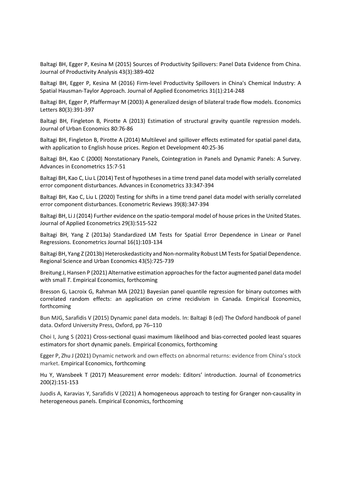Baltagi BH, Egger P, Kesina M (2015) Sources of Productivity Spillovers: Panel Data Evidence from China. Journal of Productivity Analysis 43(3):389-402

Baltagi BH, Egger P, Kesina M (2016) Firm-level Productivity Spillovers in China's Chemical Industry: A Spatial Hausman-Taylor Approach. Journal of Applied Econometrics 31(1):214-248

Baltagi BH, Egger P, Pfaffermayr M (2003) A generalized design of bilateral trade flow models. Economics Letters 80(3):391-397

Baltagi BH, Fingleton B, Pirotte A (2013) Estimation of structural gravity quantile regression models. Journal of Urban Economics 80:76-86

Baltagi BH, Fingleton B, Pirotte A (2014) Multilevel and spillover effects estimated for spatial panel data, with application to English house prices. Region et Development 40:25-36

Baltagi BH, Kao C (2000) Nonstationary Panels, Cointegration in Panels and Dynamic Panels: A Survey. Advances in Econometrics 15:7-51

Baltagi BH, Kao C, Liu L (2014) Test of hypotheses in a time trend panel data model with serially correlated error component disturbances. Advances in Econometrics 33:347-394

Baltagi BH, Kao C, Liu L (2020) Testing for shifts in a time trend panel data model with serially correlated error component disturbances. Econometric Reviews 39(8):347-394

Baltagi BH, Li J (2014) Further evidence on the spatio-temporal model of house prices in the United States. Journal of Applied Econometrics 29(3):515-522

Baltagi BH, Yang Z (2013a) Standardized LM Tests for Spatial Error Dependence in Linear or Panel Regressions. Econometrics Journal 16(1):103-134

Baltagi BH, Yang Z (2013b) Heteroskedasticity and Non-normality Robust LM Tests for Spatial Dependence. Regional Science and Urban Economics 43(5):725-739

Breitung J, Hansen P (2021) Alternative estimation approaches for the factor augmented panel data model with small T. Empirical Economics, forthcoming

Bresson G, Lacroix G, Rahman MA (2021) Bayesian panel quantile regression for binary outcomes with correlated random effects: an application on crime recidivism in Canada. Empirical Economics, forthcoming

Bun MJG, Sarafidis V (2015) Dynamic panel data models. In: Baltagi B (ed) The Oxford handbook of panel data. Oxford University Press, Oxford, pp 76–110

Choi I, Jung S (2021) Cross-sectional quasi maximum likelihood and bias-corrected pooled least squares estimators for short dynamic panels. Empirical Economics, forthcoming

Egger P, Zhu J (2021) Dynamic network and own effects on abnormal returns: evidence from China's stock market. Empirical Economics, forthcoming

Hu Y, Wansbeek T (2017) Measurement error models: Editors' introduction. Journal of Econometrics 200(2):151-153

Juodis A, Karavias Y, Sarafidis V (2021) A homogeneous approach to testing for Granger non-causality in heterogeneous panels. Empirical Economics, forthcoming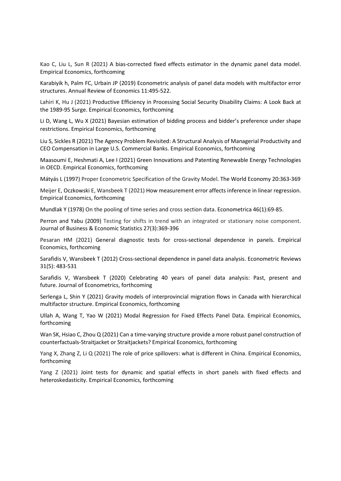Kao C, Liu L, Sun R (2021) A bias-corrected fixed effects estimator in the dynamic panel data model. Empirical Economics, forthcoming

Karabiyik h, Palm FC, Urbain JP (2019) Econometric analysis of panel data models with multifactor error structures. Annual Review of Economics 11:495-522.

Lahiri K, Hu J (2021) Productive Efficiency in Processing Social Security Disability Claims: A Look Back at the 1989-95 Surge. Empirical Economics, forthcoming

Li D, Wang L, Wu X (2021) Bayesian estimation of bidding process and bidder's preference under shape restrictions. Empirical Economics, forthcoming

Liu S, Sickles R (2021) The Agency Problem Revisited: A Structural Analysis of Managerial Productivity and CEO Compensation in Large U.S. Commercial Banks. Empirical Economics, forthcoming

Maasoumi E, Heshmati A, Lee I (2021) Green Innovations and Patenting Renewable Energy Technologies in OECD. Empirical Economics, forthcoming

Mátyás L (1997) Proper Econometric Specification of the Gravity Model. The World Economy 20:363-369

Meijer E, Oczkowski E, Wansbeek T (2021) How measurement error affects inference in linear regression. Empirical Economics, forthcoming

Mundlak Y (1978) On the pooling of time series and cross section data. Econometrica 46(1):69-85.

Perron and Yabu (2009) Testing for shifts in trend with an integrated or stationary noise component. Journal of Business & Economic Statistics 27(3):369-396

Pesaran HM (2021) General diagnostic tests for cross-sectional dependence in panels. Empirical Economics, forthcoming

Sarafidis V, Wansbeek T (2012) Cross-sectional dependence in panel data analysis. Econometric Reviews 31(5): 483-531

Sarafidis V, Wansbeek T (2020) Celebrating 40 years of panel data analysis: Past, present and future. Journal of Econometrics, forthcoming

Serlenga L, Shin Y (2021) Gravity models of interprovincial migration flows in Canada with hierarchical multifactor structure. Empirical Economics, forthcoming

Ullah A, Wang T, Yao W (2021) Modal Regression for Fixed Effects Panel Data. Empirical Economics, forthcoming

Wan SK, Hsiao C, Zhou Q (2021) Can a time-varying structure provide a more robust panel construction of counterfactuals-Straitjacket or Straitjackets? Empirical Economics, forthcoming

Yang X, Zhang Z, Li Q (2021) The role of price spillovers: what is different in China. Empirical Economics, forthcoming

Yang Z (2021) Joint tests for dynamic and spatial effects in short panels with fixed effects and heteroskedasticity. Empirical Economics, forthcoming